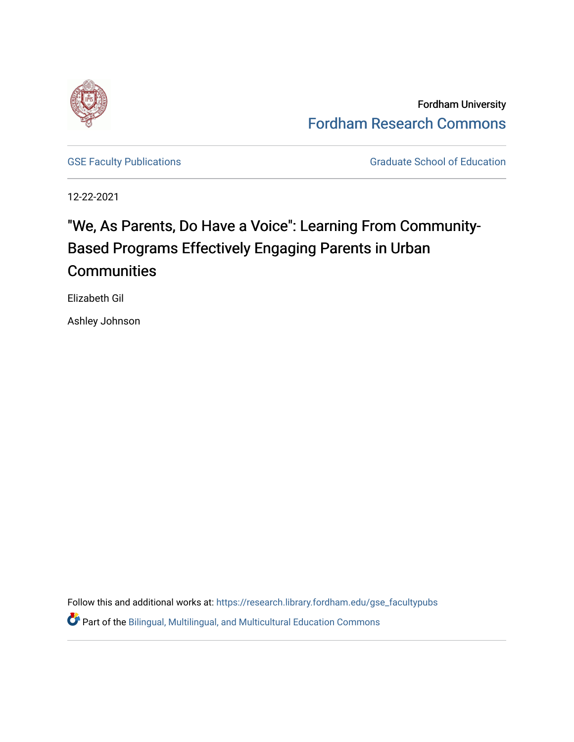

Fordham University [Fordham Research Commons](https://research.library.fordham.edu/) 

[GSE Faculty Publications](https://research.library.fordham.edu/gse_facultypubs) **GRADUATE SCHOOL SECTION** Graduate School of Education

12-22-2021

# "We, As Parents, Do Have a Voice": Learning From Community-Based Programs Effectively Engaging Parents in Urban **Communities**

Elizabeth Gil

Ashley Johnson

Follow this and additional works at: [https://research.library.fordham.edu/gse\\_facultypubs](https://research.library.fordham.edu/gse_facultypubs?utm_source=research.library.fordham.edu%2Fgse_facultypubs%2F1&utm_medium=PDF&utm_campaign=PDFCoverPages)

**C** Part of the Bilingual, Multilingual, and Multicultural Education Commons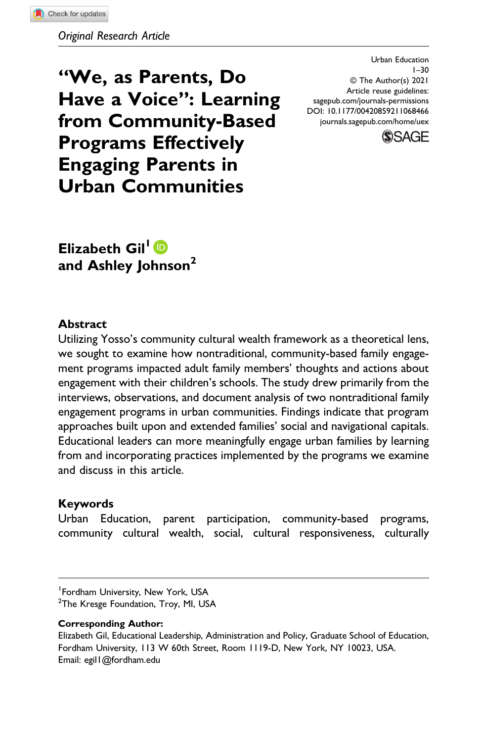Original Research Article

"We, as Parents, Do Have a Voice": Learning from Community-Based Programs Effectively Engaging Parents in Urban Communities

Urban Education 1–30 © The Author(s) 2021 Article reuse guidelines: [sagepub.com/journals-permissions](https://us.sagepub.com/en-us/journals-permissions) DOI: 10.1177/00420859211068466 [journals.sagepub.com/home/uex](https://journals.sagepub.com/home/uex)



Elizabeth Gil<sup>1</sup><sup>D</sup> and Ashley Johnson<sup>2</sup>

#### Abstract

Utilizing Yosso's community cultural wealth framework as a theoretical lens, we sought to examine how nontraditional, community-based family engagement programs impacted adult family members' thoughts and actions about engagement with their children's schools. The study drew primarily from the interviews, observations, and document analysis of two nontraditional family engagement programs in urban communities. Findings indicate that program approaches built upon and extended families' social and navigational capitals. Educational leaders can more meaningfully engage urban families by learning from and incorporating practices implemented by the programs we examine and discuss in this article.

#### Keywords

Urban Education, parent participation, community-based programs, community cultural wealth, social, cultural responsiveness, culturally

<sup>2</sup>The Kresge Foundation, Troy, MI, USA

#### Corresponding Author:

Elizabeth Gil, Educational Leadership, Administration and Policy, Graduate School of Education, Fordham University, 113 W 60th Street, Room 1119-D, New York, NY 10023, USA. Email: [egil1@fordham.edu](mailto:egil1@fordham.edu)

<sup>1</sup> Fordham University, New York, USA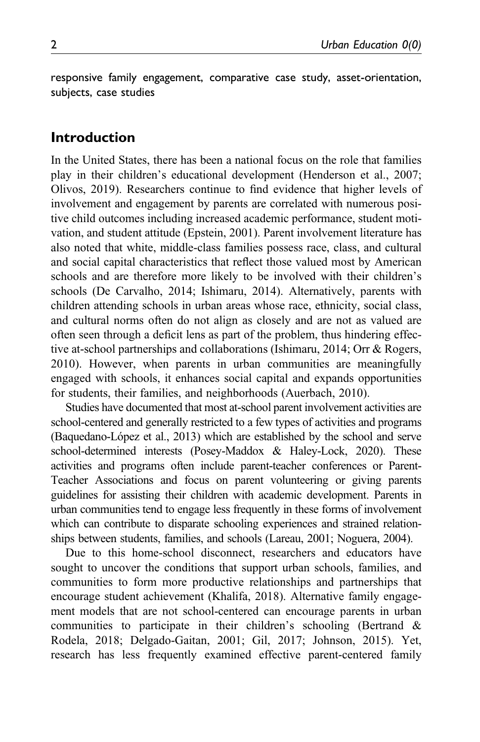responsive family engagement, comparative case study, asset-orientation, subjects, case studies

## Introduction

In the United States, there has been a national focus on the role that families play in their children's educational development (Henderson et al., 2007; Olivos, 2019). Researchers continue to find evidence that higher levels of involvement and engagement by parents are correlated with numerous positive child outcomes including increased academic performance, student motivation, and student attitude (Epstein, 2001). Parent involvement literature has also noted that white, middle-class families possess race, class, and cultural and social capital characteristics that reflect those valued most by American schools and are therefore more likely to be involved with their children's schools (De Carvalho, 2014; Ishimaru, 2014). Alternatively, parents with children attending schools in urban areas whose race, ethnicity, social class, and cultural norms often do not align as closely and are not as valued are often seen through a deficit lens as part of the problem, thus hindering effective at-school partnerships and collaborations (Ishimaru, 2014; Orr & Rogers, 2010). However, when parents in urban communities are meaningfully engaged with schools, it enhances social capital and expands opportunities for students, their families, and neighborhoods (Auerbach, 2010).

Studies have documented that most at-school parent involvement activities are school-centered and generally restricted to a few types of activities and programs (Baquedano-López et al., 2013) which are established by the school and serve school-determined interests (Posey-Maddox & Haley-Lock, 2020). These activities and programs often include parent-teacher conferences or Parent-Teacher Associations and focus on parent volunteering or giving parents guidelines for assisting their children with academic development. Parents in urban communities tend to engage less frequently in these forms of involvement which can contribute to disparate schooling experiences and strained relationships between students, families, and schools (Lareau, 2001; Noguera, 2004).

Due to this home-school disconnect, researchers and educators have sought to uncover the conditions that support urban schools, families, and communities to form more productive relationships and partnerships that encourage student achievement (Khalifa, 2018). Alternative family engagement models that are not school-centered can encourage parents in urban communities to participate in their children's schooling (Bertrand & Rodela, 2018; Delgado-Gaitan, 2001; Gil, 2017; Johnson, 2015). Yet, research has less frequently examined effective parent-centered family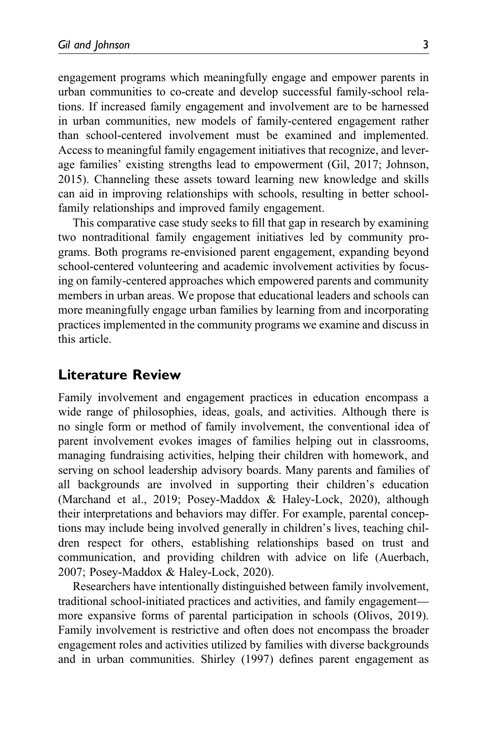engagement programs which meaningfully engage and empower parents in urban communities to co-create and develop successful family-school relations. If increased family engagement and involvement are to be harnessed in urban communities, new models of family-centered engagement rather than school-centered involvement must be examined and implemented. Access to meaningful family engagement initiatives that recognize, and leverage families' existing strengths lead to empowerment (Gil, 2017; Johnson, 2015). Channeling these assets toward learning new knowledge and skills can aid in improving relationships with schools, resulting in better schoolfamily relationships and improved family engagement.

This comparative case study seeks to fill that gap in research by examining two nontraditional family engagement initiatives led by community programs. Both programs re-envisioned parent engagement, expanding beyond school-centered volunteering and academic involvement activities by focusing on family-centered approaches which empowered parents and community members in urban areas. We propose that educational leaders and schools can more meaningfully engage urban families by learning from and incorporating practices implemented in the community programs we examine and discuss in this article.

## Literature Review

Family involvement and engagement practices in education encompass a wide range of philosophies, ideas, goals, and activities. Although there is no single form or method of family involvement, the conventional idea of parent involvement evokes images of families helping out in classrooms, managing fundraising activities, helping their children with homework, and serving on school leadership advisory boards. Many parents and families of all backgrounds are involved in supporting their children's education (Marchand et al., 2019; Posey-Maddox & Haley-Lock, 2020), although their interpretations and behaviors may differ. For example, parental conceptions may include being involved generally in children's lives, teaching children respect for others, establishing relationships based on trust and communication, and providing children with advice on life (Auerbach, 2007; Posey-Maddox & Haley-Lock, 2020).

Researchers have intentionally distinguished between family involvement, traditional school-initiated practices and activities, and family engagement more expansive forms of parental participation in schools (Olivos, 2019). Family involvement is restrictive and often does not encompass the broader engagement roles and activities utilized by families with diverse backgrounds and in urban communities. Shirley (1997) defines parent engagement as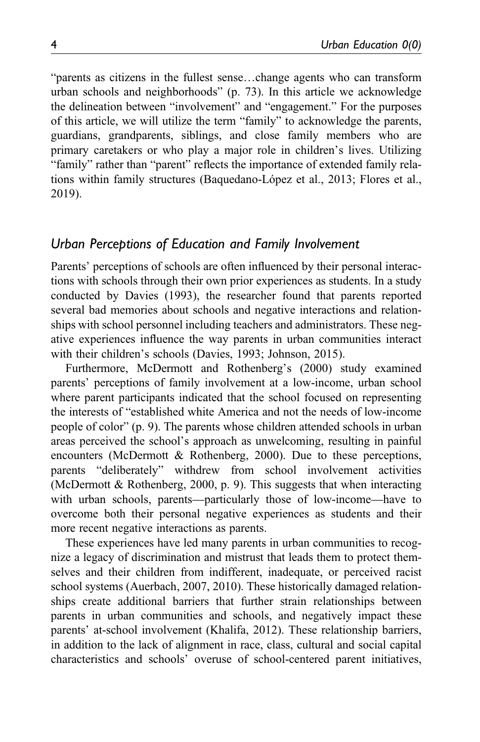"parents as citizens in the fullest sense…change agents who can transform urban schools and neighborhoods" (p. 73). In this article we acknowledge the delineation between "involvement" and "engagement." For the purposes of this article, we will utilize the term "family" to acknowledge the parents, guardians, grandparents, siblings, and close family members who are primary caretakers or who play a major role in children's lives. Utilizing "family" rather than "parent" reflects the importance of extended family relations within family structures (Baquedano-López et al., 2013; Flores et al., 2019).

## Urban Perceptions of Education and Family Involvement

Parents' perceptions of schools are often influenced by their personal interactions with schools through their own prior experiences as students. In a study conducted by Davies (1993), the researcher found that parents reported several bad memories about schools and negative interactions and relationships with school personnel including teachers and administrators. These negative experiences influence the way parents in urban communities interact with their children's schools (Davies, 1993; Johnson, 2015).

Furthermore, McDermott and Rothenberg's (2000) study examined parents' perceptions of family involvement at a low-income, urban school where parent participants indicated that the school focused on representing the interests of "established white America and not the needs of low-income people of color" (p. 9). The parents whose children attended schools in urban areas perceived the school's approach as unwelcoming, resulting in painful encounters (McDermott & Rothenberg, 2000). Due to these perceptions, parents "deliberately" withdrew from school involvement activities (McDermott & Rothenberg, 2000, p. 9). This suggests that when interacting with urban schools, parents—particularly those of low-income—have to overcome both their personal negative experiences as students and their more recent negative interactions as parents.

These experiences have led many parents in urban communities to recognize a legacy of discrimination and mistrust that leads them to protect themselves and their children from indifferent, inadequate, or perceived racist school systems (Auerbach, 2007, 2010). These historically damaged relationships create additional barriers that further strain relationships between parents in urban communities and schools, and negatively impact these parents' at-school involvement (Khalifa, 2012). These relationship barriers, in addition to the lack of alignment in race, class, cultural and social capital characteristics and schools' overuse of school-centered parent initiatives,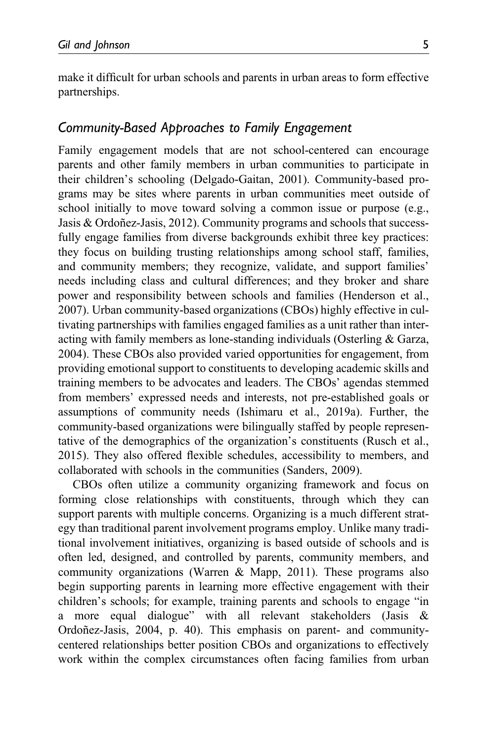make it difficult for urban schools and parents in urban areas to form effective partnerships.

# Community-Based Approaches to Family Engagement

Family engagement models that are not school-centered can encourage parents and other family members in urban communities to participate in their children's schooling (Delgado-Gaitan, 2001). Community-based programs may be sites where parents in urban communities meet outside of school initially to move toward solving a common issue or purpose (e.g., Jasis & Ordoñez-Jasis, 2012). Community programs and schools that successfully engage families from diverse backgrounds exhibit three key practices: they focus on building trusting relationships among school staff, families, and community members; they recognize, validate, and support families' needs including class and cultural differences; and they broker and share power and responsibility between schools and families (Henderson et al., 2007). Urban community-based organizations (CBOs) highly effective in cultivating partnerships with families engaged families as a unit rather than interacting with family members as lone-standing individuals (Osterling & Garza, 2004). These CBOs also provided varied opportunities for engagement, from providing emotional support to constituents to developing academic skills and training members to be advocates and leaders. The CBOs' agendas stemmed from members' expressed needs and interests, not pre-established goals or assumptions of community needs (Ishimaru et al., 2019a). Further, the community-based organizations were bilingually staffed by people representative of the demographics of the organization's constituents (Rusch et al., 2015). They also offered flexible schedules, accessibility to members, and collaborated with schools in the communities (Sanders, 2009).

CBOs often utilize a community organizing framework and focus on forming close relationships with constituents, through which they can support parents with multiple concerns. Organizing is a much different strategy than traditional parent involvement programs employ. Unlike many traditional involvement initiatives, organizing is based outside of schools and is often led, designed, and controlled by parents, community members, and community organizations (Warren & Mapp, 2011). These programs also begin supporting parents in learning more effective engagement with their children's schools; for example, training parents and schools to engage "in a more equal dialogue" with all relevant stakeholders (Jasis & Ordoñez-Jasis, 2004, p. 40). This emphasis on parent- and communitycentered relationships better position CBOs and organizations to effectively work within the complex circumstances often facing families from urban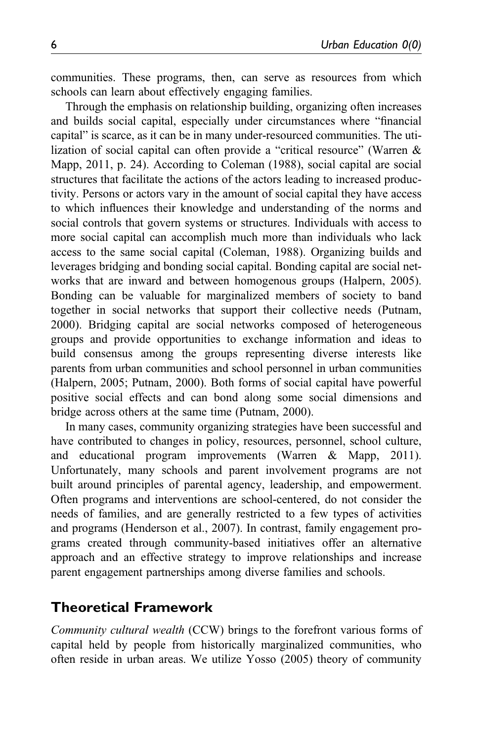communities. These programs, then, can serve as resources from which schools can learn about effectively engaging families.

Through the emphasis on relationship building, organizing often increases and builds social capital, especially under circumstances where "financial capital" is scarce, as it can be in many under-resourced communities. The utilization of social capital can often provide a "critical resource" (Warren & Mapp, 2011, p. 24). According to Coleman (1988), social capital are social structures that facilitate the actions of the actors leading to increased productivity. Persons or actors vary in the amount of social capital they have access to which influences their knowledge and understanding of the norms and social controls that govern systems or structures. Individuals with access to more social capital can accomplish much more than individuals who lack access to the same social capital (Coleman, 1988). Organizing builds and leverages bridging and bonding social capital. Bonding capital are social networks that are inward and between homogenous groups (Halpern, 2005). Bonding can be valuable for marginalized members of society to band together in social networks that support their collective needs (Putnam, 2000). Bridging capital are social networks composed of heterogeneous groups and provide opportunities to exchange information and ideas to build consensus among the groups representing diverse interests like parents from urban communities and school personnel in urban communities (Halpern, 2005; Putnam, 2000). Both forms of social capital have powerful positive social effects and can bond along some social dimensions and bridge across others at the same time (Putnam, 2000).

In many cases, community organizing strategies have been successful and have contributed to changes in policy, resources, personnel, school culture, and educational program improvements (Warren & Mapp, 2011). Unfortunately, many schools and parent involvement programs are not built around principles of parental agency, leadership, and empowerment. Often programs and interventions are school-centered, do not consider the needs of families, and are generally restricted to a few types of activities and programs (Henderson et al., 2007). In contrast, family engagement programs created through community-based initiatives offer an alternative approach and an effective strategy to improve relationships and increase parent engagement partnerships among diverse families and schools.

## Theoretical Framework

Community cultural wealth (CCW) brings to the forefront various forms of capital held by people from historically marginalized communities, who often reside in urban areas. We utilize Yosso (2005) theory of community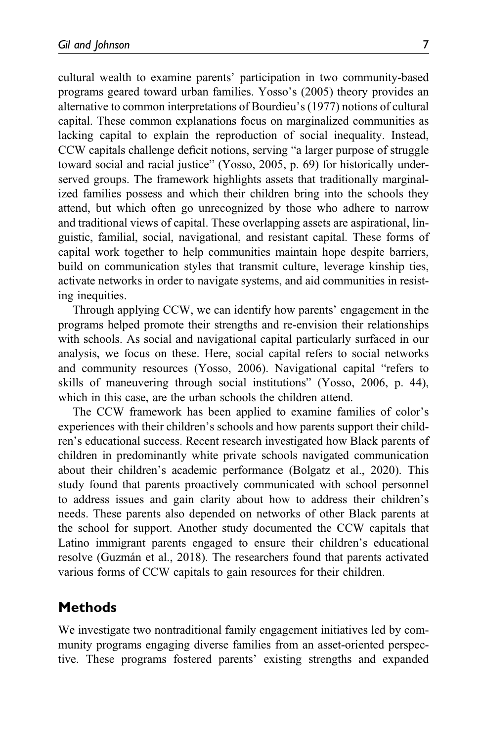cultural wealth to examine parents' participation in two community-based programs geared toward urban families. Yosso's (2005) theory provides an alternative to common interpretations of Bourdieu's (1977) notions of cultural capital. These common explanations focus on marginalized communities as lacking capital to explain the reproduction of social inequality. Instead, CCW capitals challenge deficit notions, serving "a larger purpose of struggle toward social and racial justice" (Yosso, 2005, p. 69) for historically underserved groups. The framework highlights assets that traditionally marginalized families possess and which their children bring into the schools they attend, but which often go unrecognized by those who adhere to narrow and traditional views of capital. These overlapping assets are aspirational, linguistic, familial, social, navigational, and resistant capital. These forms of capital work together to help communities maintain hope despite barriers, build on communication styles that transmit culture, leverage kinship ties, activate networks in order to navigate systems, and aid communities in resisting inequities.

Through applying CCW, we can identify how parents' engagement in the programs helped promote their strengths and re-envision their relationships with schools. As social and navigational capital particularly surfaced in our analysis, we focus on these. Here, social capital refers to social networks and community resources (Yosso, 2006). Navigational capital "refers to skills of maneuvering through social institutions" (Yosso, 2006, p. 44), which in this case, are the urban schools the children attend.

The CCW framework has been applied to examine families of color's experiences with their children's schools and how parents support their children's educational success. Recent research investigated how Black parents of children in predominantly white private schools navigated communication about their children's academic performance (Bolgatz et al., 2020). This study found that parents proactively communicated with school personnel to address issues and gain clarity about how to address their children's needs. These parents also depended on networks of other Black parents at the school for support. Another study documented the CCW capitals that Latino immigrant parents engaged to ensure their children's educational resolve (Guzmán et al., 2018). The researchers found that parents activated various forms of CCW capitals to gain resources for their children.

## Methods

We investigate two nontraditional family engagement initiatives led by community programs engaging diverse families from an asset-oriented perspective. These programs fostered parents' existing strengths and expanded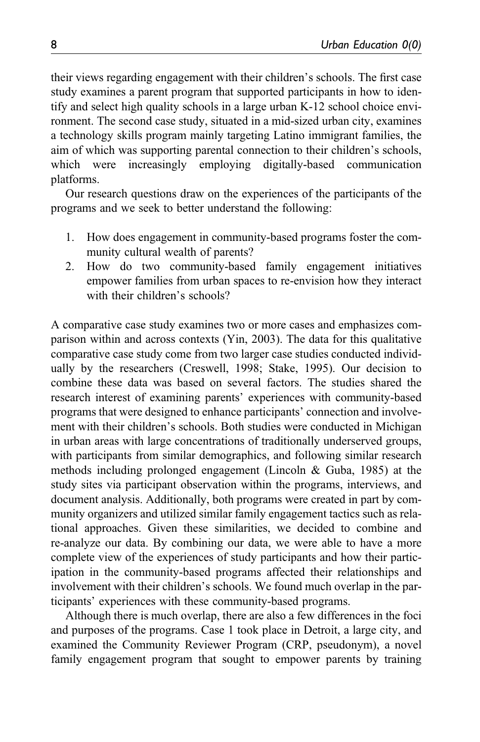their views regarding engagement with their children's schools. The first case study examines a parent program that supported participants in how to identify and select high quality schools in a large urban K-12 school choice environment. The second case study, situated in a mid-sized urban city, examines a technology skills program mainly targeting Latino immigrant families, the aim of which was supporting parental connection to their children's schools, which were increasingly employing digitally-based communication platforms.

Our research questions draw on the experiences of the participants of the programs and we seek to better understand the following:

- 1. How does engagement in community-based programs foster the community cultural wealth of parents?
- 2. How do two community-based family engagement initiatives empower families from urban spaces to re-envision how they interact with their children's schools?

A comparative case study examines two or more cases and emphasizes comparison within and across contexts (Yin, 2003). The data for this qualitative comparative case study come from two larger case studies conducted individually by the researchers (Creswell, 1998; Stake, 1995). Our decision to combine these data was based on several factors. The studies shared the research interest of examining parents' experiences with community-based programs that were designed to enhance participants' connection and involvement with their children's schools. Both studies were conducted in Michigan in urban areas with large concentrations of traditionally underserved groups, with participants from similar demographics, and following similar research methods including prolonged engagement (Lincoln & Guba, 1985) at the study sites via participant observation within the programs, interviews, and document analysis. Additionally, both programs were created in part by community organizers and utilized similar family engagement tactics such as relational approaches. Given these similarities, we decided to combine and re-analyze our data. By combining our data, we were able to have a more complete view of the experiences of study participants and how their participation in the community-based programs affected their relationships and involvement with their children's schools. We found much overlap in the participants' experiences with these community-based programs.

Although there is much overlap, there are also a few differences in the foci and purposes of the programs. Case 1 took place in Detroit, a large city, and examined the Community Reviewer Program (CRP, pseudonym), a novel family engagement program that sought to empower parents by training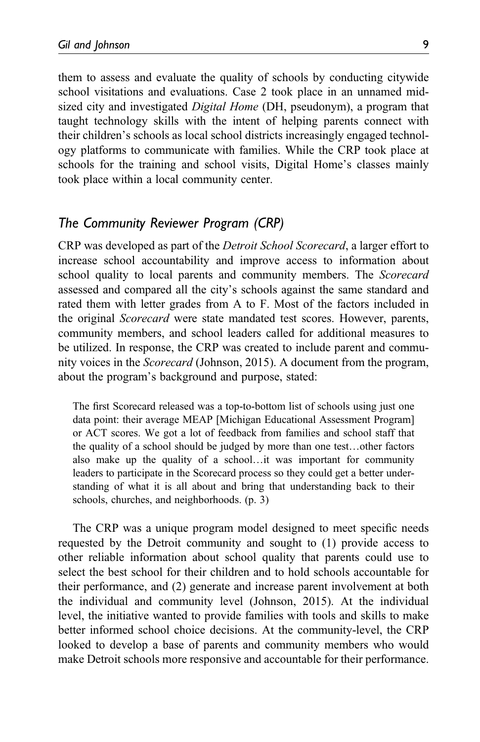them to assess and evaluate the quality of schools by conducting citywide school visitations and evaluations. Case 2 took place in an unnamed midsized city and investigated Digital Home (DH, pseudonym), a program that taught technology skills with the intent of helping parents connect with their children's schools as local school districts increasingly engaged technology platforms to communicate with families. While the CRP took place at schools for the training and school visits, Digital Home's classes mainly took place within a local community center.

## The Community Reviewer Program (CRP)

CRP was developed as part of the Detroit School Scorecard, a larger effort to increase school accountability and improve access to information about school quality to local parents and community members. The *Scorecard* assessed and compared all the city's schools against the same standard and rated them with letter grades from A to F. Most of the factors included in the original Scorecard were state mandated test scores. However, parents, community members, and school leaders called for additional measures to be utilized. In response, the CRP was created to include parent and community voices in the *Scorecard* (Johnson, 2015). A document from the program, about the program's background and purpose, stated:

The first Scorecard released was a top-to-bottom list of schools using just one data point: their average MEAP [Michigan Educational Assessment Program] or ACT scores. We got a lot of feedback from families and school staff that the quality of a school should be judged by more than one test…other factors also make up the quality of a school…it was important for community leaders to participate in the Scorecard process so they could get a better understanding of what it is all about and bring that understanding back to their schools, churches, and neighborhoods. (p. 3)

The CRP was a unique program model designed to meet specific needs requested by the Detroit community and sought to (1) provide access to other reliable information about school quality that parents could use to select the best school for their children and to hold schools accountable for their performance, and (2) generate and increase parent involvement at both the individual and community level (Johnson, 2015). At the individual level, the initiative wanted to provide families with tools and skills to make better informed school choice decisions. At the community-level, the CRP looked to develop a base of parents and community members who would make Detroit schools more responsive and accountable for their performance.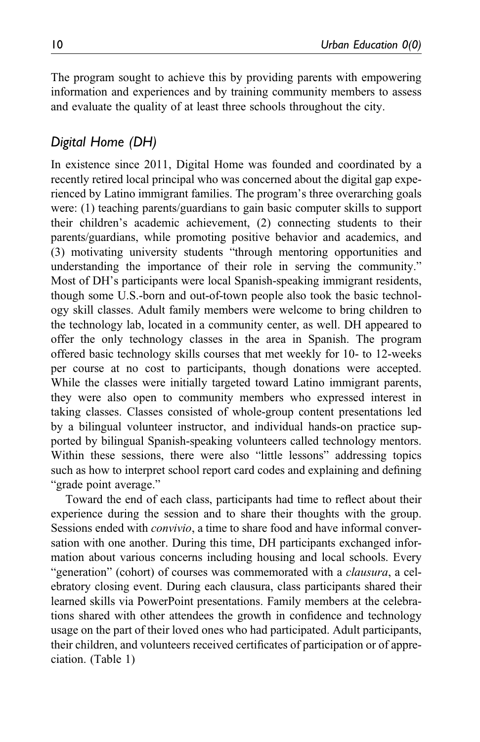The program sought to achieve this by providing parents with empowering information and experiences and by training community members to assess and evaluate the quality of at least three schools throughout the city.

# Digital Home (DH)

In existence since 2011, Digital Home was founded and coordinated by a recently retired local principal who was concerned about the digital gap experienced by Latino immigrant families. The program's three overarching goals were: (1) teaching parents/guardians to gain basic computer skills to support their children's academic achievement, (2) connecting students to their parents/guardians, while promoting positive behavior and academics, and (3) motivating university students "through mentoring opportunities and understanding the importance of their role in serving the community." Most of DH's participants were local Spanish-speaking immigrant residents, though some U.S.-born and out-of-town people also took the basic technology skill classes. Adult family members were welcome to bring children to the technology lab, located in a community center, as well. DH appeared to offer the only technology classes in the area in Spanish. The program offered basic technology skills courses that met weekly for 10- to 12-weeks per course at no cost to participants, though donations were accepted. While the classes were initially targeted toward Latino immigrant parents, they were also open to community members who expressed interest in taking classes. Classes consisted of whole-group content presentations led by a bilingual volunteer instructor, and individual hands-on practice supported by bilingual Spanish-speaking volunteers called technology mentors. Within these sessions, there were also "little lessons" addressing topics such as how to interpret school report card codes and explaining and defining "grade point average."

Toward the end of each class, participants had time to reflect about their experience during the session and to share their thoughts with the group. Sessions ended with *convivio*, a time to share food and have informal conversation with one another. During this time, DH participants exchanged information about various concerns including housing and local schools. Every "generation" (cohort) of courses was commemorated with a *clausura*, a celebratory closing event. During each clausura, class participants shared their learned skills via PowerPoint presentations. Family members at the celebrations shared with other attendees the growth in confidence and technology usage on the part of their loved ones who had participated. Adult participants, their children, and volunteers received certificates of participation or of appreciation. (Table 1)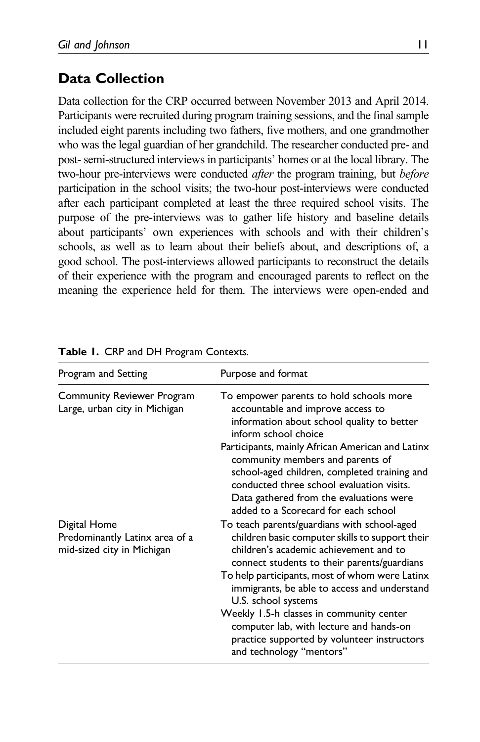# Data Collection

Data collection for the CRP occurred between November 2013 and April 2014. Participants were recruited during program training sessions, and the final sample included eight parents including two fathers, five mothers, and one grandmother who was the legal guardian of her grandchild. The researcher conducted pre- and post- semi-structured interviews in participants' homes or at the local library. The two-hour pre-interviews were conducted *after* the program training, but *before* participation in the school visits; the two-hour post-interviews were conducted after each participant completed at least the three required school visits. The purpose of the pre-interviews was to gather life history and baseline details about participants' own experiences with schools and with their children's schools, as well as to learn about their beliefs about, and descriptions of, a good school. The post-interviews allowed participants to reconstruct the details of their experience with the program and encouraged parents to reflect on the meaning the experience held for them. The interviews were open-ended and

| Program and Setting                                                          | Purpose and format                                                                                                                                                                                                                                                                                               |  |  |
|------------------------------------------------------------------------------|------------------------------------------------------------------------------------------------------------------------------------------------------------------------------------------------------------------------------------------------------------------------------------------------------------------|--|--|
| <b>Community Reviewer Program</b><br>Large, urban city in Michigan           | To empower parents to hold schools more<br>accountable and improve access to<br>information about school quality to better<br>inform school choice                                                                                                                                                               |  |  |
|                                                                              | Participants, mainly African American and Latinx<br>community members and parents of<br>school-aged children, completed training and<br>conducted three school evaluation visits.<br>Data gathered from the evaluations were<br>added to a Scorecard for each school                                             |  |  |
| Digital Home<br>Predominantly Latinx area of a<br>mid-sized city in Michigan | To teach parents/guardians with school-aged<br>children basic computer skills to support their<br>children's academic achievement and to<br>connect students to their parents/guardians<br>To help participants, most of whom were Latinx<br>immigrants, be able to access and understand<br>U.S. school systems |  |  |
|                                                                              | Weekly 1.5-h classes in community center<br>computer lab, with lecture and hands-on<br>practice supported by volunteer instructors<br>and technology "mentors"                                                                                                                                                   |  |  |

|  |  |  |  |  |  | Table 1. CRP and DH Program Contexts. |
|--|--|--|--|--|--|---------------------------------------|
|--|--|--|--|--|--|---------------------------------------|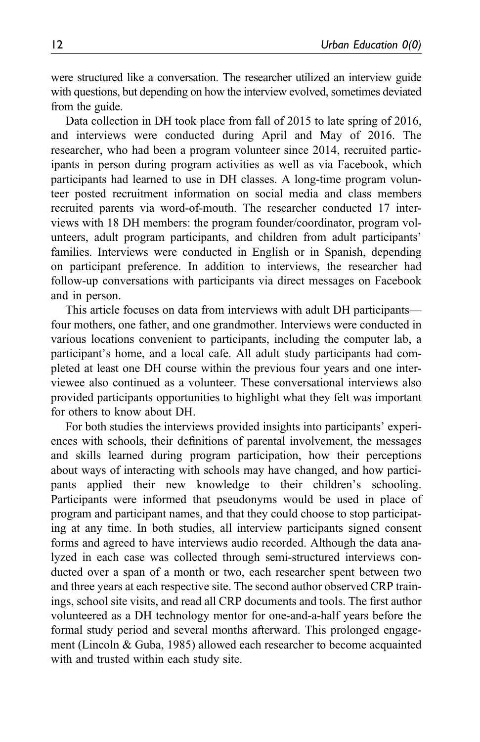were structured like a conversation. The researcher utilized an interview guide with questions, but depending on how the interview evolved, sometimes deviated from the guide.

Data collection in DH took place from fall of 2015 to late spring of 2016, and interviews were conducted during April and May of 2016. The researcher, who had been a program volunteer since 2014, recruited participants in person during program activities as well as via Facebook, which participants had learned to use in DH classes. A long-time program volunteer posted recruitment information on social media and class members recruited parents via word-of-mouth. The researcher conducted 17 interviews with 18 DH members: the program founder/coordinator, program volunteers, adult program participants, and children from adult participants' families. Interviews were conducted in English or in Spanish, depending on participant preference. In addition to interviews, the researcher had follow-up conversations with participants via direct messages on Facebook and in person.

This article focuses on data from interviews with adult DH participants four mothers, one father, and one grandmother. Interviews were conducted in various locations convenient to participants, including the computer lab, a participant's home, and a local cafe. All adult study participants had completed at least one DH course within the previous four years and one interviewee also continued as a volunteer. These conversational interviews also provided participants opportunities to highlight what they felt was important for others to know about DH.

For both studies the interviews provided insights into participants' experiences with schools, their definitions of parental involvement, the messages and skills learned during program participation, how their perceptions about ways of interacting with schools may have changed, and how participants applied their new knowledge to their children's schooling. Participants were informed that pseudonyms would be used in place of program and participant names, and that they could choose to stop participating at any time. In both studies, all interview participants signed consent forms and agreed to have interviews audio recorded. Although the data analyzed in each case was collected through semi-structured interviews conducted over a span of a month or two, each researcher spent between two and three years at each respective site. The second author observed CRP trainings, school site visits, and read all CRP documents and tools. The first author volunteered as a DH technology mentor for one-and-a-half years before the formal study period and several months afterward. This prolonged engagement (Lincoln & Guba, 1985) allowed each researcher to become acquainted with and trusted within each study site.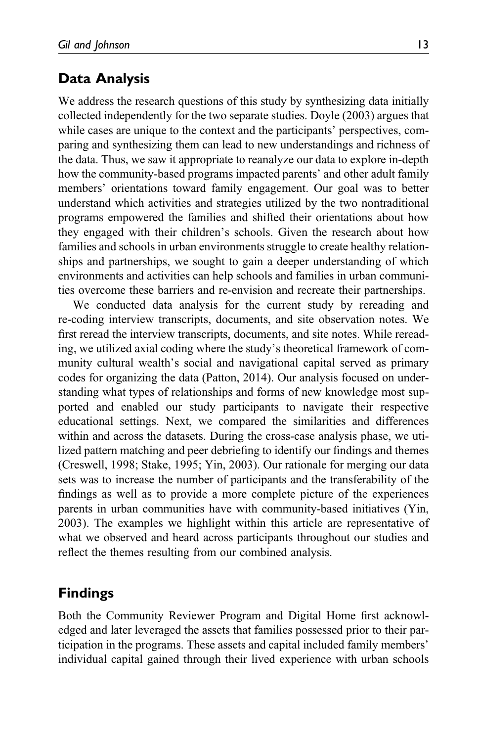# Data Analysis

We address the research questions of this study by synthesizing data initially collected independently for the two separate studies. Doyle (2003) argues that while cases are unique to the context and the participants' perspectives, comparing and synthesizing them can lead to new understandings and richness of the data. Thus, we saw it appropriate to reanalyze our data to explore in-depth how the community-based programs impacted parents' and other adult family members' orientations toward family engagement. Our goal was to better understand which activities and strategies utilized by the two nontraditional programs empowered the families and shifted their orientations about how they engaged with their children's schools. Given the research about how families and schools in urban environments struggle to create healthy relationships and partnerships, we sought to gain a deeper understanding of which environments and activities can help schools and families in urban communities overcome these barriers and re-envision and recreate their partnerships.

We conducted data analysis for the current study by rereading and re-coding interview transcripts, documents, and site observation notes. We first reread the interview transcripts, documents, and site notes. While rereading, we utilized axial coding where the study's theoretical framework of community cultural wealth's social and navigational capital served as primary codes for organizing the data (Patton, 2014). Our analysis focused on understanding what types of relationships and forms of new knowledge most supported and enabled our study participants to navigate their respective educational settings. Next, we compared the similarities and differences within and across the datasets. During the cross-case analysis phase, we utilized pattern matching and peer debriefing to identify our findings and themes (Creswell, 1998; Stake, 1995; Yin, 2003). Our rationale for merging our data sets was to increase the number of participants and the transferability of the findings as well as to provide a more complete picture of the experiences parents in urban communities have with community-based initiatives (Yin, 2003). The examples we highlight within this article are representative of what we observed and heard across participants throughout our studies and reflect the themes resulting from our combined analysis.

# Findings

Both the Community Reviewer Program and Digital Home first acknowledged and later leveraged the assets that families possessed prior to their participation in the programs. These assets and capital included family members' individual capital gained through their lived experience with urban schools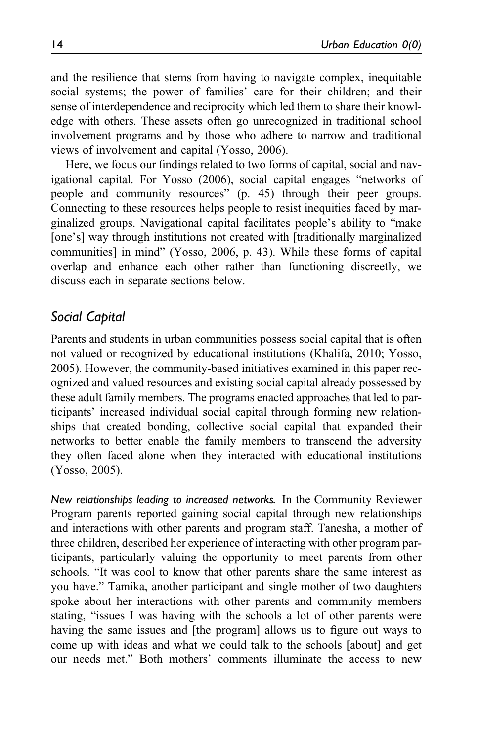and the resilience that stems from having to navigate complex, inequitable social systems; the power of families' care for their children; and their sense of interdependence and reciprocity which led them to share their knowledge with others. These assets often go unrecognized in traditional school involvement programs and by those who adhere to narrow and traditional views of involvement and capital (Yosso, 2006).

Here, we focus our findings related to two forms of capital, social and navigational capital. For Yosso (2006), social capital engages "networks of people and community resources" (p. 45) through their peer groups. Connecting to these resources helps people to resist inequities faced by marginalized groups. Navigational capital facilitates people's ability to "make [one's] way through institutions not created with [traditionally marginalized] communities] in mind" (Yosso, 2006, p. 43). While these forms of capital overlap and enhance each other rather than functioning discreetly, we discuss each in separate sections below.

## Social Capital

Parents and students in urban communities possess social capital that is often not valued or recognized by educational institutions (Khalifa, 2010; Yosso, 2005). However, the community-based initiatives examined in this paper recognized and valued resources and existing social capital already possessed by these adult family members. The programs enacted approaches that led to participants' increased individual social capital through forming new relationships that created bonding, collective social capital that expanded their networks to better enable the family members to transcend the adversity they often faced alone when they interacted with educational institutions (Yosso, 2005).

New relationships leading to increased networks. In the Community Reviewer Program parents reported gaining social capital through new relationships and interactions with other parents and program staff. Tanesha, a mother of three children, described her experience of interacting with other program participants, particularly valuing the opportunity to meet parents from other schools. "It was cool to know that other parents share the same interest as you have." Tamika, another participant and single mother of two daughters spoke about her interactions with other parents and community members stating, "issues I was having with the schools a lot of other parents were having the same issues and [the program] allows us to figure out ways to come up with ideas and what we could talk to the schools [about] and get our needs met." Both mothers' comments illuminate the access to new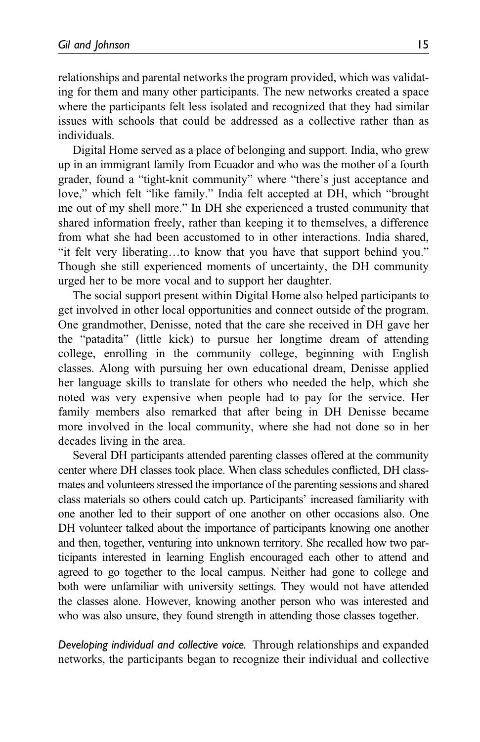relationships and parental networks the program provided, which was validating for them and many other participants. The new networks created a space where the participants felt less isolated and recognized that they had similar issues with schools that could be addressed as a collective rather than as individuals.

Digital Home served as a place of belonging and support. India, who grew up in an immigrant family from Ecuador and who was the mother of a fourth grader, found a "tight-knit community" where "there's just acceptance and love," which felt "like family." India felt accepted at DH, which "brought me out of my shell more." In DH she experienced a trusted community that shared information freely, rather than keeping it to themselves, a difference from what she had been accustomed to in other interactions. India shared, "it felt very liberating…to know that you have that support behind you." Though she still experienced moments of uncertainty, the DH community urged her to be more vocal and to support her daughter.

The social support present within Digital Home also helped participants to get involved in other local opportunities and connect outside of the program. One grandmother, Denisse, noted that the care she received in DH gave her the "patadita" (little kick) to pursue her longtime dream of attending college, enrolling in the community college, beginning with English classes. Along with pursuing her own educational dream, Denisse applied her language skills to translate for others who needed the help, which she noted was very expensive when people had to pay for the service. Her family members also remarked that after being in DH Denisse became more involved in the local community, where she had not done so in her decades living in the area.

Several DH participants attended parenting classes offered at the community center where DH classes took place. When class schedules conflicted, DH classmates and volunteers stressed the importance of the parenting sessions and shared class materials so others could catch up. Participants' increased familiarity with one another led to their support of one another on other occasions also. One DH volunteer talked about the importance of participants knowing one another and then, together, venturing into unknown territory. She recalled how two participants interested in learning English encouraged each other to attend and agreed to go together to the local campus. Neither had gone to college and both were unfamiliar with university settings. They would not have attended the classes alone. However, knowing another person who was interested and who was also unsure, they found strength in attending those classes together.

Developing individual and collective voice. Through relationships and expanded networks, the participants began to recognize their individual and collective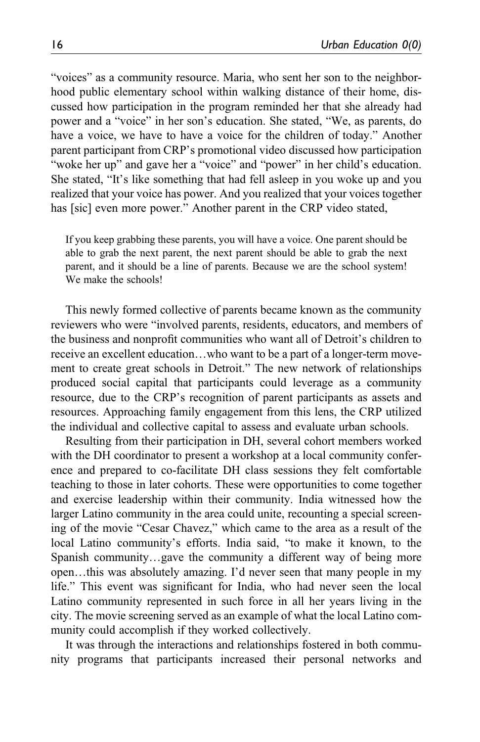"voices" as a community resource. Maria, who sent her son to the neighborhood public elementary school within walking distance of their home, discussed how participation in the program reminded her that she already had power and a "voice" in her son's education. She stated, "We, as parents, do have a voice, we have to have a voice for the children of today." Another parent participant from CRP's promotional video discussed how participation "woke her up" and gave her a "voice" and "power" in her child's education. She stated, "It's like something that had fell asleep in you woke up and you realized that your voice has power. And you realized that your voices together has [sic] even more power." Another parent in the CRP video stated,

If you keep grabbing these parents, you will have a voice. One parent should be able to grab the next parent, the next parent should be able to grab the next parent, and it should be a line of parents. Because we are the school system! We make the schools!

This newly formed collective of parents became known as the community reviewers who were "involved parents, residents, educators, and members of the business and nonprofit communities who want all of Detroit's children to receive an excellent education…who want to be a part of a longer-term movement to create great schools in Detroit." The new network of relationships produced social capital that participants could leverage as a community resource, due to the CRP's recognition of parent participants as assets and resources. Approaching family engagement from this lens, the CRP utilized the individual and collective capital to assess and evaluate urban schools.

Resulting from their participation in DH, several cohort members worked with the DH coordinator to present a workshop at a local community conference and prepared to co-facilitate DH class sessions they felt comfortable teaching to those in later cohorts. These were opportunities to come together and exercise leadership within their community. India witnessed how the larger Latino community in the area could unite, recounting a special screening of the movie "Cesar Chavez," which came to the area as a result of the local Latino community's efforts. India said, "to make it known, to the Spanish community…gave the community a different way of being more open…this was absolutely amazing. I'd never seen that many people in my life." This event was significant for India, who had never seen the local Latino community represented in such force in all her years living in the city. The movie screening served as an example of what the local Latino community could accomplish if they worked collectively.

It was through the interactions and relationships fostered in both community programs that participants increased their personal networks and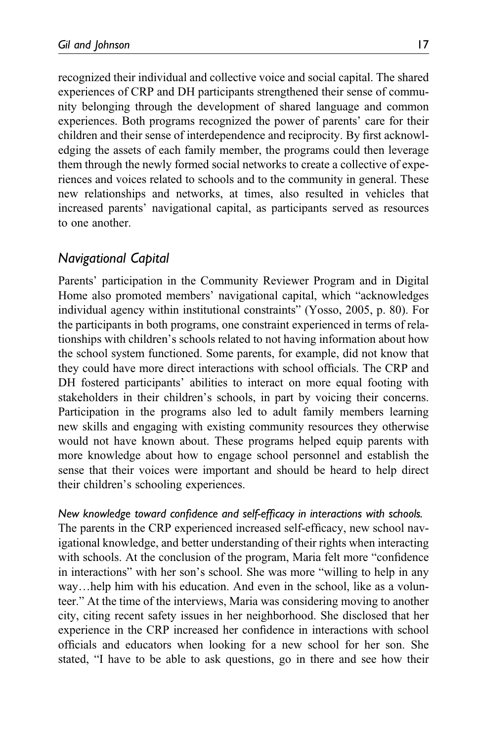recognized their individual and collective voice and social capital. The shared experiences of CRP and DH participants strengthened their sense of community belonging through the development of shared language and common experiences. Both programs recognized the power of parents' care for their children and their sense of interdependence and reciprocity. By first acknowledging the assets of each family member, the programs could then leverage them through the newly formed social networks to create a collective of experiences and voices related to schools and to the community in general. These new relationships and networks, at times, also resulted in vehicles that increased parents' navigational capital, as participants served as resources to one another.

# Navigational Capital

Parents' participation in the Community Reviewer Program and in Digital Home also promoted members' navigational capital, which "acknowledges individual agency within institutional constraints" (Yosso, 2005, p. 80). For the participants in both programs, one constraint experienced in terms of relationships with children's schools related to not having information about how the school system functioned. Some parents, for example, did not know that they could have more direct interactions with school officials. The CRP and DH fostered participants' abilities to interact on more equal footing with stakeholders in their children's schools, in part by voicing their concerns. Participation in the programs also led to adult family members learning new skills and engaging with existing community resources they otherwise would not have known about. These programs helped equip parents with more knowledge about how to engage school personnel and establish the sense that their voices were important and should be heard to help direct their children's schooling experiences.

## New knowledge toward confidence and self-efficacy in interactions with schools.

The parents in the CRP experienced increased self-efficacy, new school navigational knowledge, and better understanding of their rights when interacting with schools. At the conclusion of the program, Maria felt more "confidence in interactions" with her son's school. She was more "willing to help in any way…help him with his education. And even in the school, like as a volunteer." At the time of the interviews, Maria was considering moving to another city, citing recent safety issues in her neighborhood. She disclosed that her experience in the CRP increased her confidence in interactions with school officials and educators when looking for a new school for her son. She stated, "I have to be able to ask questions, go in there and see how their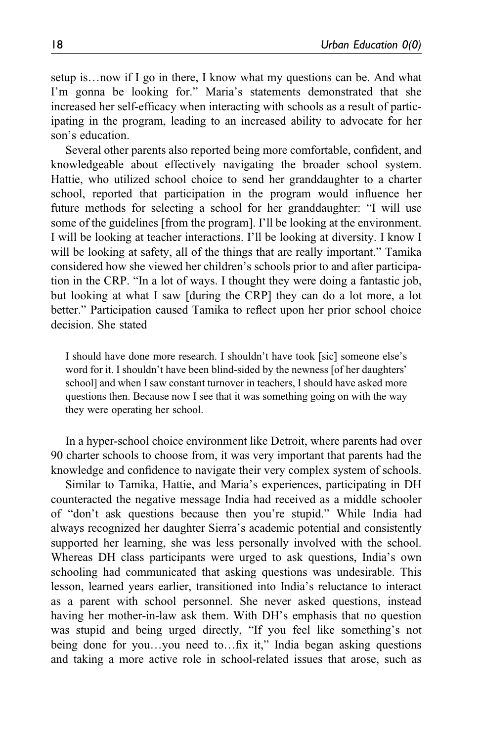setup is…now if I go in there, I know what my questions can be. And what I'm gonna be looking for." Maria's statements demonstrated that she increased her self-efficacy when interacting with schools as a result of participating in the program, leading to an increased ability to advocate for her son's education.

Several other parents also reported being more comfortable, confident, and knowledgeable about effectively navigating the broader school system. Hattie, who utilized school choice to send her granddaughter to a charter school, reported that participation in the program would influence her future methods for selecting a school for her granddaughter: "I will use some of the guidelines [from the program]. I'll be looking at the environment. I will be looking at teacher interactions. I'll be looking at diversity. I know I will be looking at safety, all of the things that are really important." Tamika considered how she viewed her children's schools prior to and after participation in the CRP. "In a lot of ways. I thought they were doing a fantastic job, but looking at what I saw [during the CRP] they can do a lot more, a lot better." Participation caused Tamika to reflect upon her prior school choice decision. She stated

I should have done more research. I shouldn't have took [sic] someone else's word for it. I shouldn't have been blind-sided by the newness [of her daughters' school] and when I saw constant turnover in teachers, I should have asked more questions then. Because now I see that it was something going on with the way they were operating her school.

In a hyper-school choice environment like Detroit, where parents had over 90 charter schools to choose from, it was very important that parents had the knowledge and confidence to navigate their very complex system of schools.

Similar to Tamika, Hattie, and Maria's experiences, participating in DH counteracted the negative message India had received as a middle schooler of "don't ask questions because then you're stupid." While India had always recognized her daughter Sierra's academic potential and consistently supported her learning, she was less personally involved with the school. Whereas DH class participants were urged to ask questions, India's own schooling had communicated that asking questions was undesirable. This lesson, learned years earlier, transitioned into India's reluctance to interact as a parent with school personnel. She never asked questions, instead having her mother-in-law ask them. With DH's emphasis that no question was stupid and being urged directly, "If you feel like something's not being done for you…you need to…fix it," India began asking questions and taking a more active role in school-related issues that arose, such as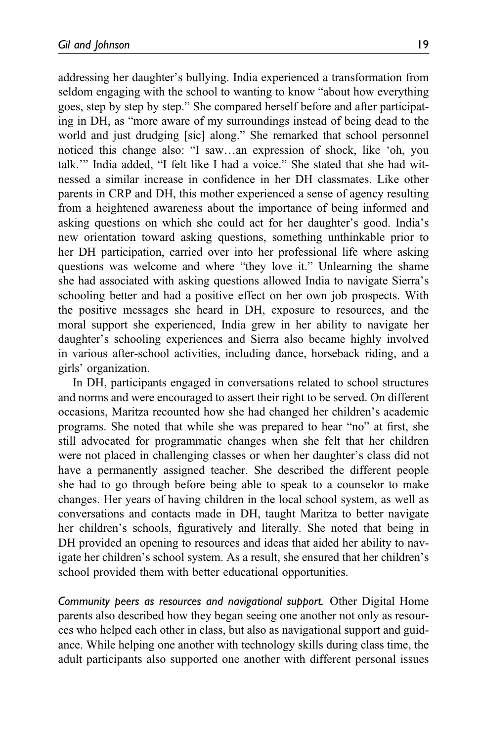addressing her daughter's bullying. India experienced a transformation from seldom engaging with the school to wanting to know "about how everything goes, step by step by step." She compared herself before and after participating in DH, as "more aware of my surroundings instead of being dead to the world and just drudging [sic] along." She remarked that school personnel noticed this change also: "I saw…an expression of shock, like 'oh, you talk.'" India added, "I felt like I had a voice." She stated that she had witnessed a similar increase in confidence in her DH classmates. Like other parents in CRP and DH, this mother experienced a sense of agency resulting from a heightened awareness about the importance of being informed and asking questions on which she could act for her daughter's good. India's new orientation toward asking questions, something unthinkable prior to her DH participation, carried over into her professional life where asking questions was welcome and where "they love it." Unlearning the shame she had associated with asking questions allowed India to navigate Sierra's schooling better and had a positive effect on her own job prospects. With the positive messages she heard in DH, exposure to resources, and the moral support she experienced, India grew in her ability to navigate her daughter's schooling experiences and Sierra also became highly involved in various after-school activities, including dance, horseback riding, and a girls' organization.

In DH, participants engaged in conversations related to school structures and norms and were encouraged to assert their right to be served. On different occasions, Maritza recounted how she had changed her children's academic programs. She noted that while she was prepared to hear "no" at first, she still advocated for programmatic changes when she felt that her children were not placed in challenging classes or when her daughter's class did not have a permanently assigned teacher. She described the different people she had to go through before being able to speak to a counselor to make changes. Her years of having children in the local school system, as well as conversations and contacts made in DH, taught Maritza to better navigate her children's schools, figuratively and literally. She noted that being in DH provided an opening to resources and ideas that aided her ability to navigate her children's school system. As a result, she ensured that her children's school provided them with better educational opportunities.

Community peers as resources and navigational support. Other Digital Home parents also described how they began seeing one another not only as resources who helped each other in class, but also as navigational support and guidance. While helping one another with technology skills during class time, the adult participants also supported one another with different personal issues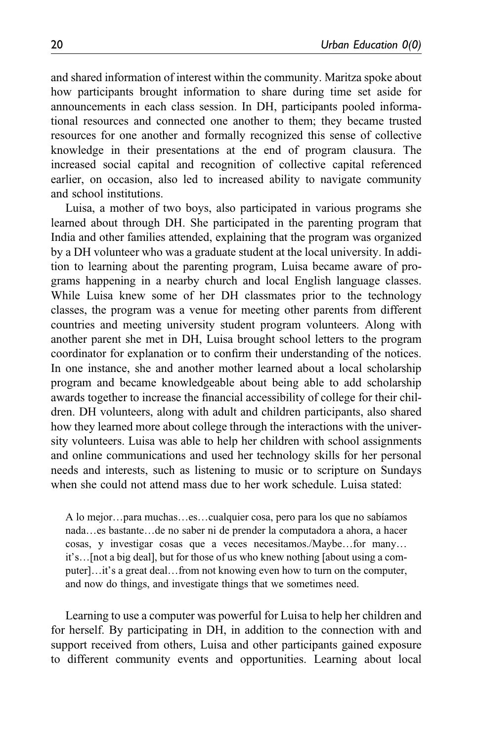and shared information of interest within the community. Maritza spoke about how participants brought information to share during time set aside for announcements in each class session. In DH, participants pooled informational resources and connected one another to them; they became trusted resources for one another and formally recognized this sense of collective knowledge in their presentations at the end of program clausura. The increased social capital and recognition of collective capital referenced earlier, on occasion, also led to increased ability to navigate community and school institutions.

Luisa, a mother of two boys, also participated in various programs she learned about through DH. She participated in the parenting program that India and other families attended, explaining that the program was organized by a DH volunteer who was a graduate student at the local university. In addition to learning about the parenting program, Luisa became aware of programs happening in a nearby church and local English language classes. While Luisa knew some of her DH classmates prior to the technology classes, the program was a venue for meeting other parents from different countries and meeting university student program volunteers. Along with another parent she met in DH, Luisa brought school letters to the program coordinator for explanation or to confirm their understanding of the notices. In one instance, she and another mother learned about a local scholarship program and became knowledgeable about being able to add scholarship awards together to increase the financial accessibility of college for their children. DH volunteers, along with adult and children participants, also shared how they learned more about college through the interactions with the university volunteers. Luisa was able to help her children with school assignments and online communications and used her technology skills for her personal needs and interests, such as listening to music or to scripture on Sundays when she could not attend mass due to her work schedule. Luisa stated:

A lo mejor…para muchas…es…cualquier cosa, pero para los que no sabíamos nada…es bastante…de no saber ni de prender la computadora a ahora, a hacer cosas, y investigar cosas que a veces necesitamos./Maybe…for many… it's…[not a big deal], but for those of us who knew nothing [about using a computer]…it's a great deal…from not knowing even how to turn on the computer, and now do things, and investigate things that we sometimes need.

Learning to use a computer was powerful for Luisa to help her children and for herself. By participating in DH, in addition to the connection with and support received from others, Luisa and other participants gained exposure to different community events and opportunities. Learning about local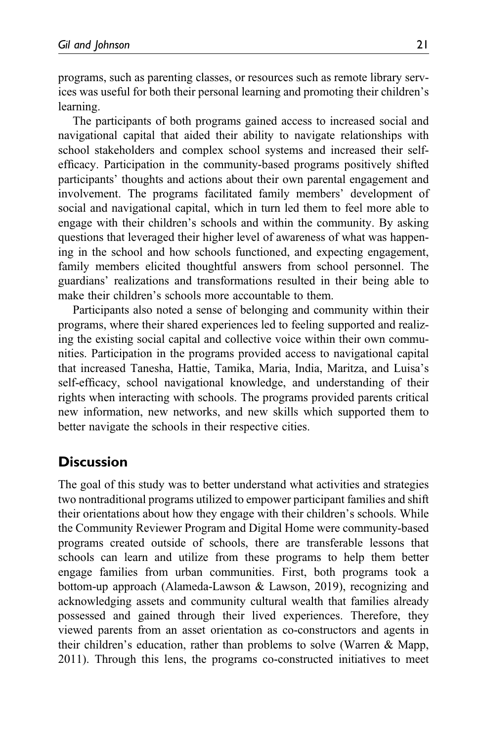programs, such as parenting classes, or resources such as remote library services was useful for both their personal learning and promoting their children's learning.

The participants of both programs gained access to increased social and navigational capital that aided their ability to navigate relationships with school stakeholders and complex school systems and increased their selfefficacy. Participation in the community-based programs positively shifted participants' thoughts and actions about their own parental engagement and involvement. The programs facilitated family members' development of social and navigational capital, which in turn led them to feel more able to engage with their children's schools and within the community. By asking questions that leveraged their higher level of awareness of what was happening in the school and how schools functioned, and expecting engagement, family members elicited thoughtful answers from school personnel. The guardians' realizations and transformations resulted in their being able to make their children's schools more accountable to them.

Participants also noted a sense of belonging and community within their programs, where their shared experiences led to feeling supported and realizing the existing social capital and collective voice within their own communities. Participation in the programs provided access to navigational capital that increased Tanesha, Hattie, Tamika, Maria, India, Maritza, and Luisa's self-efficacy, school navigational knowledge, and understanding of their rights when interacting with schools. The programs provided parents critical new information, new networks, and new skills which supported them to better navigate the schools in their respective cities.

# **Discussion**

The goal of this study was to better understand what activities and strategies two nontraditional programs utilized to empower participant families and shift their orientations about how they engage with their children's schools. While the Community Reviewer Program and Digital Home were community-based programs created outside of schools, there are transferable lessons that schools can learn and utilize from these programs to help them better engage families from urban communities. First, both programs took a bottom-up approach (Alameda-Lawson & Lawson, 2019), recognizing and acknowledging assets and community cultural wealth that families already possessed and gained through their lived experiences. Therefore, they viewed parents from an asset orientation as co-constructors and agents in their children's education, rather than problems to solve (Warren & Mapp, 2011). Through this lens, the programs co-constructed initiatives to meet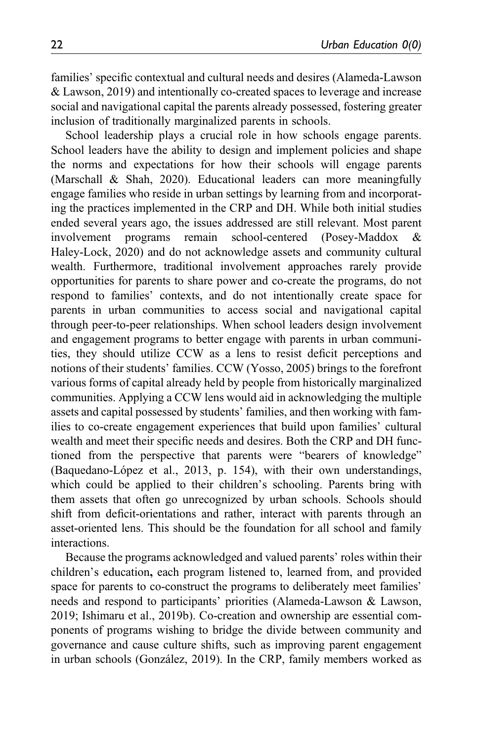families' specific contextual and cultural needs and desires (Alameda-Lawson & Lawson, 2019) and intentionally co-created spaces to leverage and increase social and navigational capital the parents already possessed, fostering greater inclusion of traditionally marginalized parents in schools.

School leadership plays a crucial role in how schools engage parents. School leaders have the ability to design and implement policies and shape the norms and expectations for how their schools will engage parents (Marschall & Shah, 2020). Educational leaders can more meaningfully engage families who reside in urban settings by learning from and incorporating the practices implemented in the CRP and DH. While both initial studies ended several years ago, the issues addressed are still relevant. Most parent involvement programs remain school-centered (Posey-Maddox & Haley-Lock, 2020) and do not acknowledge assets and community cultural wealth. Furthermore, traditional involvement approaches rarely provide opportunities for parents to share power and co-create the programs, do not respond to families' contexts, and do not intentionally create space for parents in urban communities to access social and navigational capital through peer-to-peer relationships. When school leaders design involvement and engagement programs to better engage with parents in urban communities, they should utilize CCW as a lens to resist deficit perceptions and notions of their students' families. CCW (Yosso, 2005) brings to the forefront various forms of capital already held by people from historically marginalized communities. Applying a CCW lens would aid in acknowledging the multiple assets and capital possessed by students' families, and then working with families to co-create engagement experiences that build upon families' cultural wealth and meet their specific needs and desires. Both the CRP and DH functioned from the perspective that parents were "bearers of knowledge" (Baquedano-López et al., 2013, p. 154), with their own understandings, which could be applied to their children's schooling. Parents bring with them assets that often go unrecognized by urban schools. Schools should shift from deficit-orientations and rather, interact with parents through an asset-oriented lens. This should be the foundation for all school and family interactions.

Because the programs acknowledged and valued parents' roles within their children's education, each program listened to, learned from, and provided space for parents to co-construct the programs to deliberately meet families' needs and respond to participants' priorities (Alameda-Lawson & Lawson, 2019; Ishimaru et al., 2019b). Co-creation and ownership are essential components of programs wishing to bridge the divide between community and governance and cause culture shifts, such as improving parent engagement in urban schools (González, 2019). In the CRP, family members worked as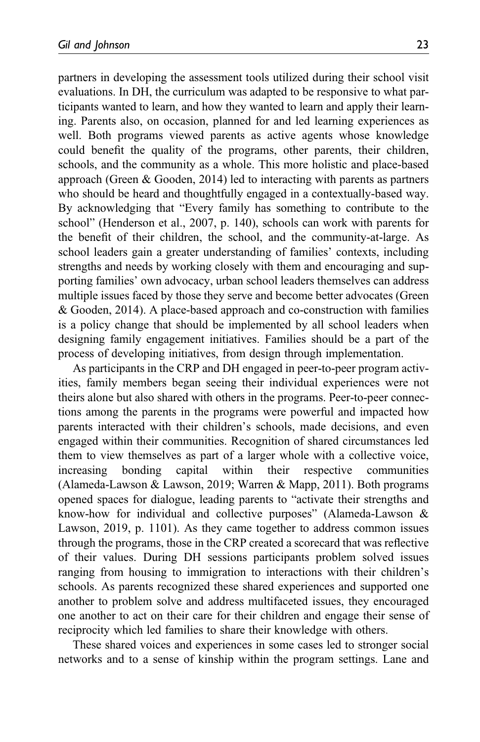partners in developing the assessment tools utilized during their school visit evaluations. In DH, the curriculum was adapted to be responsive to what participants wanted to learn, and how they wanted to learn and apply their learning. Parents also, on occasion, planned for and led learning experiences as well. Both programs viewed parents as active agents whose knowledge could benefit the quality of the programs, other parents, their children, schools, and the community as a whole. This more holistic and place-based approach (Green & Gooden, 2014) led to interacting with parents as partners who should be heard and thoughtfully engaged in a contextually-based way. By acknowledging that "Every family has something to contribute to the school" (Henderson et al., 2007, p. 140), schools can work with parents for the benefit of their children, the school, and the community-at-large. As school leaders gain a greater understanding of families' contexts, including strengths and needs by working closely with them and encouraging and supporting families' own advocacy, urban school leaders themselves can address multiple issues faced by those they serve and become better advocates (Green & Gooden, 2014). A place-based approach and co-construction with families is a policy change that should be implemented by all school leaders when designing family engagement initiatives. Families should be a part of the process of developing initiatives, from design through implementation.

As participants in the CRP and DH engaged in peer-to-peer program activities, family members began seeing their individual experiences were not theirs alone but also shared with others in the programs. Peer-to-peer connections among the parents in the programs were powerful and impacted how parents interacted with their children's schools, made decisions, and even engaged within their communities. Recognition of shared circumstances led them to view themselves as part of a larger whole with a collective voice, increasing bonding capital within their respective communities (Alameda-Lawson & Lawson, 2019; Warren & Mapp, 2011). Both programs opened spaces for dialogue, leading parents to "activate their strengths and know-how for individual and collective purposes" (Alameda-Lawson & Lawson, 2019, p. 1101). As they came together to address common issues through the programs, those in the CRP created a scorecard that was reflective of their values. During DH sessions participants problem solved issues ranging from housing to immigration to interactions with their children's schools. As parents recognized these shared experiences and supported one another to problem solve and address multifaceted issues, they encouraged one another to act on their care for their children and engage their sense of reciprocity which led families to share their knowledge with others.

These shared voices and experiences in some cases led to stronger social networks and to a sense of kinship within the program settings. Lane and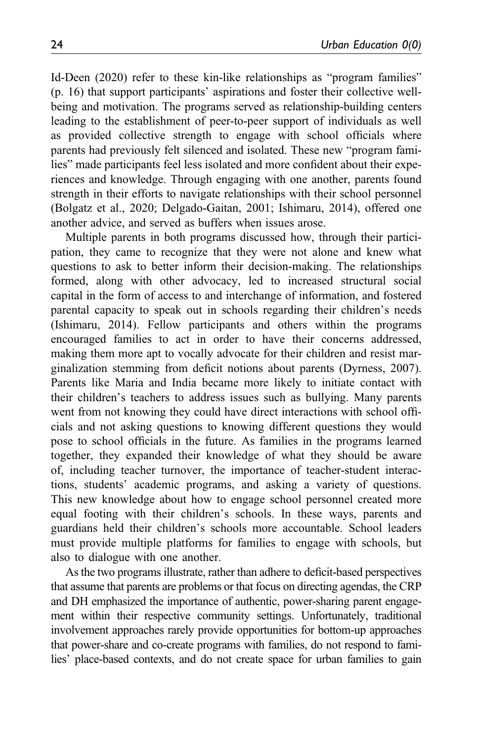Id-Deen (2020) refer to these kin-like relationships as "program families" (p. 16) that support participants' aspirations and foster their collective wellbeing and motivation. The programs served as relationship-building centers leading to the establishment of peer-to-peer support of individuals as well as provided collective strength to engage with school officials where parents had previously felt silenced and isolated. These new "program families" made participants feel less isolated and more confident about their experiences and knowledge. Through engaging with one another, parents found strength in their efforts to navigate relationships with their school personnel (Bolgatz et al., 2020; Delgado-Gaitan, 2001; Ishimaru, 2014), offered one another advice, and served as buffers when issues arose.

Multiple parents in both programs discussed how, through their participation, they came to recognize that they were not alone and knew what questions to ask to better inform their decision-making. The relationships formed, along with other advocacy, led to increased structural social capital in the form of access to and interchange of information, and fostered parental capacity to speak out in schools regarding their children's needs (Ishimaru, 2014). Fellow participants and others within the programs encouraged families to act in order to have their concerns addressed, making them more apt to vocally advocate for their children and resist marginalization stemming from deficit notions about parents (Dyrness, 2007). Parents like Maria and India became more likely to initiate contact with their children's teachers to address issues such as bullying. Many parents went from not knowing they could have direct interactions with school officials and not asking questions to knowing different questions they would pose to school officials in the future. As families in the programs learned together, they expanded their knowledge of what they should be aware of, including teacher turnover, the importance of teacher-student interactions, students' academic programs, and asking a variety of questions. This new knowledge about how to engage school personnel created more equal footing with their children's schools. In these ways, parents and guardians held their children's schools more accountable. School leaders must provide multiple platforms for families to engage with schools, but also to dialogue with one another.

As the two programs illustrate, rather than adhere to deficit-based perspectives that assume that parents are problems or that focus on directing agendas, the CRP and DH emphasized the importance of authentic, power-sharing parent engagement within their respective community settings. Unfortunately, traditional involvement approaches rarely provide opportunities for bottom-up approaches that power-share and co-create programs with families, do not respond to families' place-based contexts, and do not create space for urban families to gain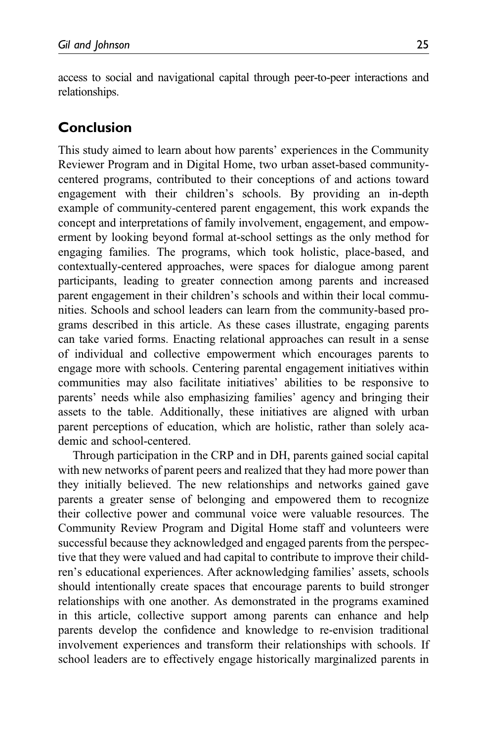access to social and navigational capital through peer-to-peer interactions and relationships.

# Conclusion

This study aimed to learn about how parents' experiences in the Community Reviewer Program and in Digital Home, two urban asset-based communitycentered programs, contributed to their conceptions of and actions toward engagement with their children's schools. By providing an in-depth example of community-centered parent engagement, this work expands the concept and interpretations of family involvement, engagement, and empowerment by looking beyond formal at-school settings as the only method for engaging families. The programs, which took holistic, place-based, and contextually-centered approaches, were spaces for dialogue among parent participants, leading to greater connection among parents and increased parent engagement in their children's schools and within their local communities. Schools and school leaders can learn from the community-based programs described in this article. As these cases illustrate, engaging parents can take varied forms. Enacting relational approaches can result in a sense of individual and collective empowerment which encourages parents to engage more with schools. Centering parental engagement initiatives within communities may also facilitate initiatives' abilities to be responsive to parents' needs while also emphasizing families' agency and bringing their assets to the table. Additionally, these initiatives are aligned with urban parent perceptions of education, which are holistic, rather than solely academic and school-centered.

Through participation in the CRP and in DH, parents gained social capital with new networks of parent peers and realized that they had more power than they initially believed. The new relationships and networks gained gave parents a greater sense of belonging and empowered them to recognize their collective power and communal voice were valuable resources. The Community Review Program and Digital Home staff and volunteers were successful because they acknowledged and engaged parents from the perspective that they were valued and had capital to contribute to improve their children's educational experiences. After acknowledging families' assets, schools should intentionally create spaces that encourage parents to build stronger relationships with one another. As demonstrated in the programs examined in this article, collective support among parents can enhance and help parents develop the confidence and knowledge to re-envision traditional involvement experiences and transform their relationships with schools. If school leaders are to effectively engage historically marginalized parents in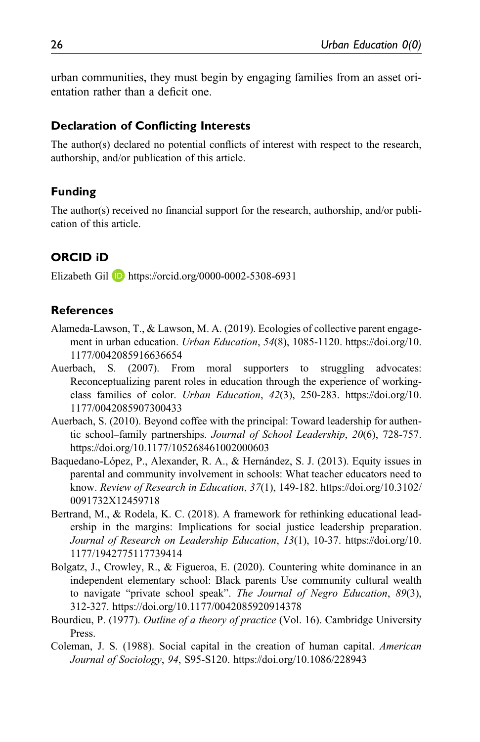urban communities, they must begin by engaging families from an asset orientation rather than a deficit one.

#### Declaration of Conflicting Interests

The author(s) declared no potential conflicts of interest with respect to the research, authorship, and/or publication of this article.

#### Funding

The author(s) received no financial support for the research, authorship, and/or publication of this article.

## ORCID iD

Elizabeth Gil **D** <https://orcid.org/0000-0002-5308-6931>

## **References**

- Alameda-Lawson, T., & Lawson, M. A. (2019). Ecologies of collective parent engagement in urban education. *Urban Education*, 54(8), 1085-1120. [https://doi.org/10.](https://doi.org/10.1177/0042085916636654) [1177/0042085916636654](https://doi.org/10.1177/0042085916636654)
- Auerbach, S. (2007). From moral supporters to struggling advocates: Reconceptualizing parent roles in education through the experience of workingclass families of color. Urban Education, 42(3), 250-283. [https://doi.org/10.](https://doi.org/10.1177/0042085907300433) [1177/0042085907300433](https://doi.org/10.1177/0042085907300433)
- Auerbach, S. (2010). Beyond coffee with the principal: Toward leadership for authentic school–family partnerships. Journal of School Leadership, 20(6), 728-757. <https://doi.org/10.1177/105268461002000603>
- Baquedano-López, P., Alexander, R. A., & Hernández, S. J. (2013). Equity issues in parental and community involvement in schools: What teacher educators need to know. Review of Research in Education, 37(1), 149-182. [https://doi.org/10.3102/](https://doi.org/10.3102/0091732X12459718) [0091732X12459718](https://doi.org/10.3102/0091732X12459718)
- Bertrand, M., & Rodela, K. C. (2018). A framework for rethinking educational leadership in the margins: Implications for social justice leadership preparation. Journal of Research on Leadership Education, 13(1), 10-37. [https://doi.org/10.](https://doi.org/10.1177/1942775117739414) [1177/1942775117739414](https://doi.org/10.1177/1942775117739414)
- Bolgatz, J., Crowley, R., & Figueroa, E. (2020). Countering white dominance in an independent elementary school: Black parents Use community cultural wealth to navigate "private school speak". The Journal of Negro Education, 89(3), 312-327. https://doi.org/10.1177/0042085920914378
- Bourdieu, P. (1977). Outline of a theory of practice (Vol. 16). Cambridge University Press.
- Coleman, J. S. (1988). Social capital in the creation of human capital. American Journal of Sociology, 94, S95-S120.<https://doi.org/10.1086/228943>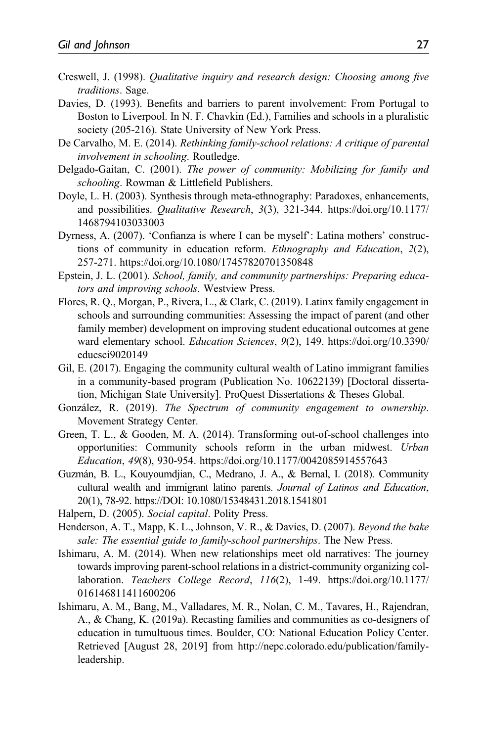- Creswell, J. (1998). Qualitative inquiry and research design: Choosing among five traditions. Sage.
- Davies, D. (1993). Benefits and barriers to parent involvement: From Portugal to Boston to Liverpool. In N. F. Chavkin (Ed.), Families and schools in a pluralistic society (205-216). State University of New York Press.
- De Carvalho, M. E. (2014). Rethinking family-school relations: A critique of parental involvement in schooling. Routledge.
- Delgado-Gaitan, C. (2001). The power of community: Mobilizing for family and schooling. Rowman & Littlefield Publishers.
- Doyle, L. H. (2003). Synthesis through meta-ethnography: Paradoxes, enhancements, and possibilities. Qualitative Research, 3(3), 321-344. [https://doi.org/10.1177/](https://doi.org/10.1177/1468794103033003) [1468794103033003](https://doi.org/10.1177/1468794103033003)
- Dyrness, A. (2007). 'Confianza is where I can be myself': Latina mothers' constructions of community in education reform. Ethnography and Education, 2(2), 257-271.<https://doi.org/10.1080/17457820701350848>
- Epstein, J. L. (2001). School, family, and community partnerships: Preparing educators and improving schools. Westview Press.
- Flores, R. Q., Morgan, P., Rivera, L., & Clark, C. (2019). Latinx family engagement in schools and surrounding communities: Assessing the impact of parent (and other family member) development on improving student educational outcomes at gene ward elementary school. Education Sciences, 9(2), 149. [https://doi.org/10.3390/](https://doi.org/10.3390/educsci9020149) [educsci9020149](https://doi.org/10.3390/educsci9020149)
- Gil, E. (2017). Engaging the community cultural wealth of Latino immigrant families in a community-based program (Publication No. 10622139) [Doctoral dissertation, Michigan State University]. ProQuest Dissertations & Theses Global.
- González, R. (2019). The Spectrum of community engagement to ownership. Movement Strategy Center.
- Green, T. L., & Gooden, M. A. (2014). Transforming out-of-school challenges into opportunities: Community schools reform in the urban midwest. Urban Education, 49(8), 930-954.<https://doi.org/10.1177/0042085914557643>
- Guzmán, B. L., Kouyoumdjian, C., Medrano, J. A., & Bernal, I. (2018). Community cultural wealth and immigrant latino parents. Journal of Latinos and Education, 20(1), 78-92. https://DOI: 10.1080/15348431.2018.1541801
- Halpern, D. (2005). Social capital. Polity Press.
- Henderson, A. T., Mapp, K. L., Johnson, V. R., & Davies, D. (2007). Beyond the bake sale: The essential guide to family-school partnerships. The New Press.
- Ishimaru, A. M. (2014). When new relationships meet old narratives: The journey towards improving parent-school relations in a district-community organizing collaboration. Teachers College Record, 116(2), 1-49. [https://doi.org/10.1177/](https://doi.org/10.1177/016146811411600206) [016146811411600206](https://doi.org/10.1177/016146811411600206)
- Ishimaru, A. M., Bang, M., Valladares, M. R., Nolan, C. M., Tavares, H., Rajendran, A., & Chang, K. (2019a). Recasting families and communities as co-designers of education in tumultuous times. Boulder, CO: National Education Policy Center. Retrieved [August 28, 2019] from http://nepc.colorado.edu/publication/familyleadership.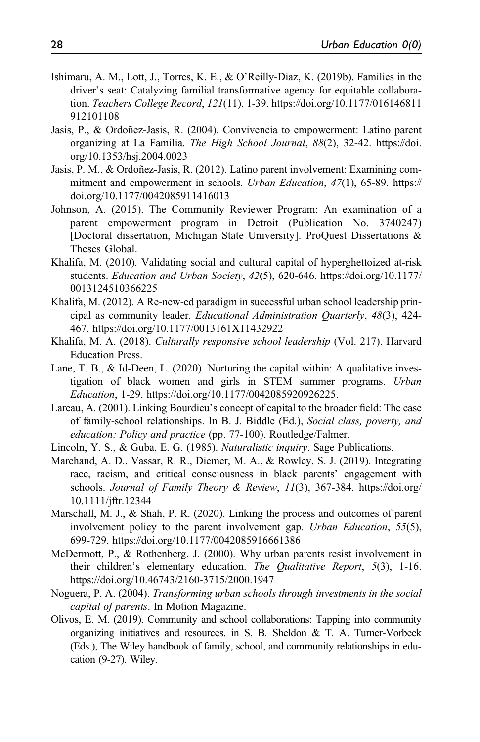- Ishimaru, A. M., Lott, J., Torres, K. E., & O'Reilly-Diaz, K. (2019b). Families in the driver's seat: Catalyzing familial transformative agency for equitable collaboration. Teachers College Record, 121(11), 1-39. [https://doi.org/10.1177/016146811](https://doi.org/10.1177/016146811912101108) [912101108](https://doi.org/10.1177/016146811912101108)
- Jasis, P., & Ordoñez-Jasis, R. (2004). Convivencia to empowerment: Latino parent organizing at La Familia. The High School Journal, 88(2), 32-42. [https://doi.](https://doi.org/10.1353/hsj.2004.0023) [org/10.1353/hsj.2004.0023](https://doi.org/10.1353/hsj.2004.0023)
- Jasis, P. M., & Ordoñez-Jasis, R. (2012). Latino parent involvement: Examining commitment and empowerment in schools. Urban Education, 47(1), 65-89. [https://](https://doi.org/10.1177/0042085911416013) [doi.org/10.1177/0042085911416013](https://doi.org/10.1177/0042085911416013)
- Johnson, A. (2015). The Community Reviewer Program: An examination of a parent empowerment program in Detroit (Publication No. 3740247) [Doctoral dissertation, Michigan State University]. ProQuest Dissertations & Theses Global.
- Khalifa, M. (2010). Validating social and cultural capital of hyperghettoized at-risk students. Education and Urban Society, 42(5), 620-646. [https://doi.org/10.1177/](https://doi.org/10.1177/0013124510366225) [0013124510366225](https://doi.org/10.1177/0013124510366225)
- Khalifa, M. (2012). A Re-new-ed paradigm in successful urban school leadership principal as community leader. Educational Administration Quarterly, 48(3), 424- 467.<https://doi.org/10.1177/0013161X11432922>
- Khalifa, M. A. (2018). Culturally responsive school leadership (Vol. 217). Harvard Education Press.
- Lane, T. B., & Id-Deen, L. (2020). Nurturing the capital within: A qualitative investigation of black women and girls in STEM summer programs. Urban Education, 1-29. https://doi.org/10.1177/0042085920926225.
- Lareau, A. (2001). Linking Bourdieu's concept of capital to the broader field: The case of family-school relationships. In B. J. Biddle (Ed.), Social class, poverty, and education: Policy and practice (pp. 77-100). Routledge/Falmer.
- Lincoln, Y. S., & Guba, E. G. (1985). Naturalistic inquiry. Sage Publications.
- Marchand, A. D., Vassar, R. R., Diemer, M. A., & Rowley, S. J. (2019). Integrating race, racism, and critical consciousness in black parents' engagement with schools. Journal of Family Theory & Review, 11(3), 367-384. [https://doi.org/](https://doi.org/10.1111/jftr.12344) [10.1111/jftr.12344](https://doi.org/10.1111/jftr.12344)
- Marschall, M. J., & Shah, P. R. (2020). Linking the process and outcomes of parent involvement policy to the parent involvement gap. Urban Education, 55(5), 699-729.<https://doi.org/10.1177/0042085916661386>
- McDermott, P., & Rothenberg, J. (2000). Why urban parents resist involvement in their children's elementary education. The Qualitative Report, 5(3), 1-16. https://doi.org/10.46743/2160-3715/2000.1947
- Noguera, P. A. (2004). Transforming urban schools through investments in the social capital of parents. In Motion Magazine.
- Olivos, E. M. (2019). Community and school collaborations: Tapping into community organizing initiatives and resources. in S. B. Sheldon & T. A. Turner-Vorbeck (Eds.), The Wiley handbook of family, school, and community relationships in education (9-27). Wiley.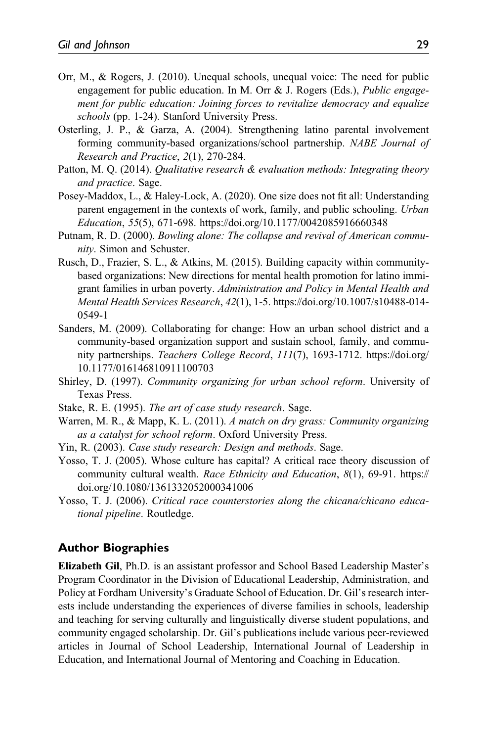- Orr, M., & Rogers, J. (2010). Unequal schools, unequal voice: The need for public engagement for public education. In M. Orr & J. Rogers (Eds.), Public engagement for public education: Joining forces to revitalize democracy and equalize schools (pp. 1-24). Stanford University Press.
- Osterling, J. P., & Garza, A. (2004). Strengthening latino parental involvement forming community-based organizations/school partnership. NABE Journal of Research and Practice, 2(1), 270-284.
- Patton, M. O. (2014). *Qualitative research & evaluation methods: Integrating theory* and practice. Sage.
- Posey-Maddox, L., & Haley-Lock, A. (2020). One size does not fit all: Understanding parent engagement in the contexts of work, family, and public schooling. Urban Education, 55(5), 671-698.<https://doi.org/10.1177/0042085916660348>
- Putnam, R. D. (2000). Bowling alone: The collapse and revival of American community. Simon and Schuster.
- Rusch, D., Frazier, S. L., & Atkins, M. (2015). Building capacity within communitybased organizations: New directions for mental health promotion for latino immigrant families in urban poverty. Administration and Policy in Mental Health and Mental Health Services Research, 42(1), 1-5. [https://doi.org/10.1007/s10488-014-](https://doi.org/10.1007/s10488-014-0549-1) [0549-1](https://doi.org/10.1007/s10488-014-0549-1)
- Sanders, M. (2009). Collaborating for change: How an urban school district and a community-based organization support and sustain school, family, and community partnerships. Teachers College Record, 111(7), 1693-1712. [https://doi.org/](https://doi.org/10.1177/016146810911100703) [10.1177/016146810911100703](https://doi.org/10.1177/016146810911100703)
- Shirley, D. (1997). Community organizing for urban school reform. University of Texas Press.
- Stake, R. E. (1995). The art of case study research. Sage.
- Warren, M. R., & Mapp, K. L. (2011). A match on dry grass: Community organizing as a catalyst for school reform. Oxford University Press.
- Yin, R. (2003). Case study research: Design and methods. Sage.
- Yosso, T. J. (2005). Whose culture has capital? A critical race theory discussion of community cultural wealth. Race Ethnicity and Education, 8(1), 69-91. [https://](https://doi.org/10.1080/1361332052000341006) [doi.org/10.1080/1361332052000341006](https://doi.org/10.1080/1361332052000341006)
- Yosso, T. J. (2006). Critical race counterstories along the chicana/chicano educational pipeline. Routledge.

#### Author Biographies

Elizabeth Gil, Ph.D. is an assistant professor and School Based Leadership Master's Program Coordinator in the Division of Educational Leadership, Administration, and Policy at Fordham University's Graduate School of Education. Dr. Gil's research interests include understanding the experiences of diverse families in schools, leadership and teaching for serving culturally and linguistically diverse student populations, and community engaged scholarship. Dr. Gil's publications include various peer-reviewed articles in Journal of School Leadership, International Journal of Leadership in Education, and International Journal of Mentoring and Coaching in Education.